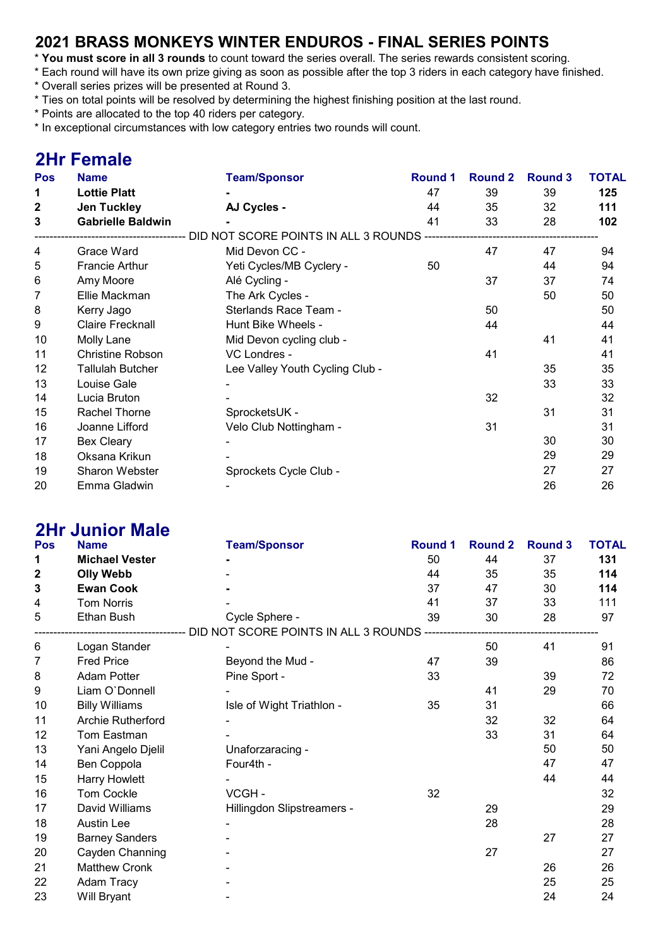### 2021 BRASS MONKEYS WINTER ENDUROS - FINAL SERIES POINTS

- \* You must score in all 3 rounds to count toward the series overall. The series rewards consistent scoring.
- \* Each round will have its own prize giving as soon as possible after the top 3 riders in each category have finished.
- \* Overall series prizes will be presented at Round 3.
- \* Ties on total points will be resolved by determining the highest finishing position at the last round.
- \* Points are allocated to the top 40 riders per category.
- \* In exceptional circumstances with low category entries two rounds will count.

# 2Hr Female

| <b>Pos</b>   | <b>Name</b>              | <b>Team/Sponsor</b>                  | <b>Round 1</b> | <b>Round 2</b> | <b>Round 3</b> | <b>TOTAL</b> |
|--------------|--------------------------|--------------------------------------|----------------|----------------|----------------|--------------|
| 1            | <b>Lottie Platt</b>      |                                      | 47             | 39             | 39             | 125          |
| $\mathbf{2}$ | <b>Jen Tuckley</b>       | AJ Cycles -                          | 44             | 35             | 32             | 111          |
| 3            | <b>Gabrielle Baldwin</b> |                                      | 41             | 33             | 28             | 102          |
|              |                          | DID NOT SCORE POINTS IN ALL 3 ROUNDS |                |                |                |              |
| 4            | Grace Ward               | Mid Devon CC -                       |                | 47             | 47             | 94           |
| 5            | <b>Francie Arthur</b>    | Yeti Cycles/MB Cyclery -             | 50             |                | 44             | 94           |
| 6            | Amy Moore                | Alé Cycling -                        |                | 37             | 37             | 74           |
| 7            | Ellie Mackman            | The Ark Cycles -                     |                |                | 50             | 50           |
| 8            | Kerry Jago               | Sterlands Race Team -                |                | 50             |                | 50           |
| 9            | <b>Claire Frecknall</b>  | Hunt Bike Wheels -                   |                | 44             |                | 44           |
| 10           | Molly Lane               | Mid Devon cycling club -             |                |                | 41             | 41           |
| 11           | <b>Christine Robson</b>  | VC Londres -                         |                | 41             |                | 41           |
| 12           | <b>Tallulah Butcher</b>  | Lee Valley Youth Cycling Club -      |                |                | 35             | 35           |
| 13           | Louise Gale              |                                      |                |                | 33             | 33           |
| 14           | Lucia Bruton             |                                      |                | 32             |                | 32           |
| 15           | Rachel Thorne            | SprocketsUK -                        |                |                | 31             | 31           |
| 16           | Joanne Lifford           | Velo Club Nottingham -               |                | 31             |                | 31           |
| 17           | <b>Bex Cleary</b>        |                                      |                |                | 30             | 30           |
| 18           | Oksana Krikun            |                                      |                |                | 29             | 29           |
| 19           | Sharon Webster           | Sprockets Cycle Club -               |                |                | 27             | 27           |
| 20           | Emma Gladwin             |                                      |                |                | 26             | 26           |

### 2Hr Junior Male

| Pos         | <b>Name</b>           | <b>Team/Sponsor</b>                                                                 | <b>Round 1</b> | <b>Round 2</b> | <b>Round 3</b> | <b>TOTAL</b> |
|-------------|-----------------------|-------------------------------------------------------------------------------------|----------------|----------------|----------------|--------------|
| 1           | <b>Michael Vester</b> |                                                                                     | 50             | 44             | 37             | 131          |
| 2           | <b>Olly Webb</b>      |                                                                                     | 44             | 35             | 35             | 114          |
| $\mathbf 3$ | <b>Ewan Cook</b>      |                                                                                     | 37             | 47             | 30             | 114          |
| 4           | <b>Tom Norris</b>     |                                                                                     | 41             | 37             | 33             | 111          |
| 5           | Ethan Bush            | Cycle Sphere -                                                                      | 39             | 30             | 28             | 97           |
|             |                       | -----------------------------    DID NOT SCORE    POINTS IN ALL            3 ROUNDS |                |                |                |              |
| 6           | Logan Stander         |                                                                                     |                | 50             | 41             | 91           |
| 7           | <b>Fred Price</b>     | Beyond the Mud -                                                                    | 47             | 39             |                | 86           |
| 8           | <b>Adam Potter</b>    | Pine Sport -                                                                        | 33             |                | 39             | 72           |
| 9           | Liam O'Donnell        |                                                                                     |                | 41             | 29             | 70           |
| 10          | <b>Billy Williams</b> | Isle of Wight Triathlon -                                                           | 35             | 31             |                | 66           |
| 11          | Archie Rutherford     |                                                                                     |                | 32             | 32             | 64           |
| 12          | Tom Eastman           |                                                                                     |                | 33             | 31             | 64           |
| 13          | Yani Angelo Djelil    | Unaforzaracing -                                                                    |                |                | 50             | 50           |
| 14          | Ben Coppola           | Four4th -                                                                           |                |                | 47             | 47           |
| 15          | <b>Harry Howlett</b>  |                                                                                     |                |                | 44             | 44           |
| 16          | <b>Tom Cockle</b>     | VCGH-                                                                               | 32             |                |                | 32           |
| 17          | David Williams        | Hillingdon Slipstreamers -                                                          |                | 29             |                | 29           |
| 18          | <b>Austin Lee</b>     |                                                                                     |                | 28             |                | 28           |
| 19          | <b>Barney Sanders</b> |                                                                                     |                |                | 27             | 27           |
| 20          | Cayden Channing       |                                                                                     |                | 27             |                | 27           |
| 21          | <b>Matthew Cronk</b>  |                                                                                     |                |                | 26             | 26           |
| 22          | Adam Tracy            |                                                                                     |                |                | 25             | 25           |
| 23          | Will Bryant           |                                                                                     |                |                | 24             | 24           |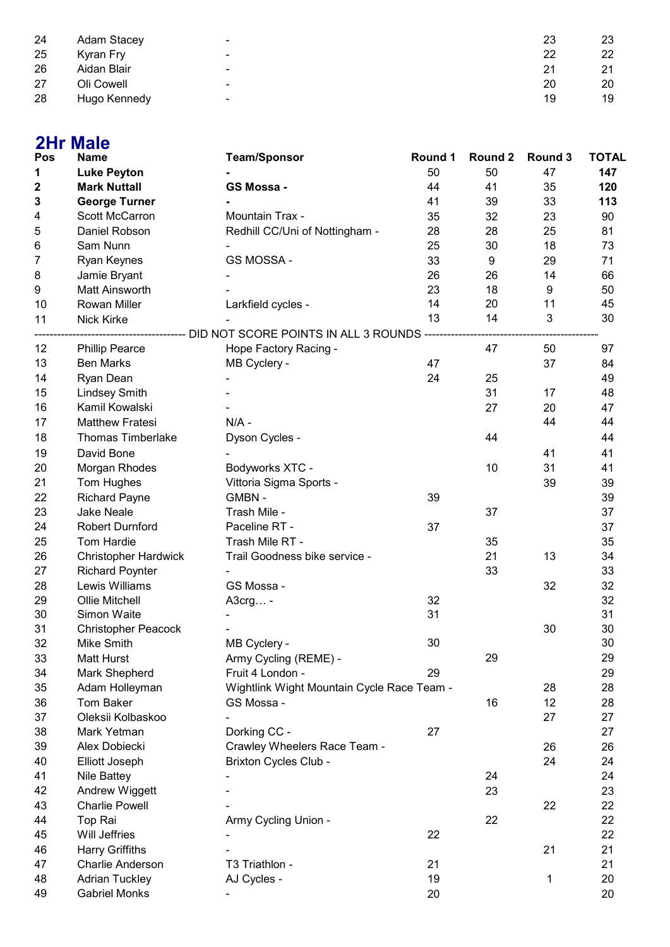| 24 | <b>Adam Stacey</b> | ۰              | 23 | 23 |
|----|--------------------|----------------|----|----|
| 25 | Kyran Fry          | $\blacksquare$ | 22 | 22 |
| 26 | Aidan Blair        | $\blacksquare$ | 21 | 21 |
| 27 | Oli Cowell         | -              | 20 | 20 |
| 28 | Hugo Kennedy       | ۰              | 19 | 19 |

| <b>Name</b><br><b>TOTAL</b><br>Pos<br><b>Team/Sponsor</b><br>Round 1<br>Round 2<br>Round 3<br>50<br>50<br>147<br><b>Luke Peyton</b><br>47<br>1<br><b>Mark Nuttall</b><br>GS Mossa -<br>44<br>41<br>35<br>120<br>$\mathbf 2$<br>3<br><b>George Turner</b><br>41<br>39<br>33<br>113<br>Mountain Trax -<br>Scott McCarron<br>32<br>23<br>90<br>4<br>35<br>Daniel Robson<br>5<br>Redhill CC/Uni of Nottingham -<br>28<br>28<br>25<br>81<br>6<br>Sam Nunn<br>25<br>30<br>18<br>73<br>GS MOSSA -<br>33<br>9<br>29<br>71<br>7<br>Ryan Keynes<br>14<br>Jamie Bryant<br>26<br>26<br>66<br>Matt Ainsworth<br>23<br>18<br>9<br>50<br>9<br>14<br>20<br>11<br>45<br>Rowan Miller<br>10<br>Larkfield cycles -<br>3<br>13<br>14<br>30<br>11<br>Nick Kirke<br>--------------------------- DID NOT SCORE POINTS IN ALL 3 ROUNDS ------------<br>12<br><b>Phillip Pearce</b><br>Hope Factory Racing -<br>47<br>97<br>50<br>13<br><b>Ben Marks</b><br>MB Cyclery -<br>47<br>37<br>84<br>14<br>Ryan Dean<br>24<br>25<br>49<br>31<br>15<br><b>Lindsey Smith</b><br>17<br>48<br>16<br>Kamil Kowalski<br>27<br>20<br>47<br>44<br>44<br><b>Matthew Fratesi</b><br>$N/A$ -<br>17<br>18<br><b>Thomas Timberlake</b><br>44<br>44<br>Dyson Cycles -<br>19<br>David Bone<br>41<br>41<br>20<br>Morgan Rhodes<br>Bodyworks XTC -<br>10<br>31<br>41<br>21<br>Tom Hughes<br>Vittoria Sigma Sports -<br>39<br>39<br>22<br><b>Richard Payne</b><br>GMBN-<br>39<br>39<br>23<br><b>Jake Neale</b><br>Trash Mile -<br>37<br>37<br>24<br><b>Robert Durnford</b><br>Paceline RT -<br>37<br>37<br>25<br>Tom Hardie<br>Trash Mile RT -<br>35<br>35<br>26<br>Trail Goodness bike service -<br>21<br>13<br><b>Christopher Hardwick</b><br>34<br>27<br>33<br>33<br><b>Richard Poynter</b><br>28<br>Lewis Williams<br>GS Mossa -<br>32<br>32<br>29<br>Ollie Mitchell<br>32<br>32<br>A3crg -<br>31<br>31<br>30<br>Simon Waite<br>30<br>31<br><b>Christopher Peacock</b><br>30<br>$\overline{\phantom{a}}$<br>30<br>30<br>32<br>Mike Smith<br>MB Cyclery -<br>29<br>29<br>33<br><b>Matt Hurst</b><br>Army Cycling (REME) -<br>Mark Shepherd<br>Fruit 4 London -<br>29<br>29<br>34<br>28<br>35<br>Adam Holleyman<br>Wightlink Wight Mountain Cycle Race Team -<br>28<br>36<br><b>Tom Baker</b><br>16<br>12<br>28<br>GS Mossa -<br>37<br>Oleksii Kolbaskoo<br>27<br>27<br>Dorking CC -<br>27<br>38<br>Mark Yetman<br>27<br>Alex Dobiecki<br>Crawley Wheelers Race Team -<br>39<br>26<br>26<br><b>Brixton Cycles Club -</b><br>24<br>24<br>40<br>Elliott Joseph<br>24<br>24<br>41<br>Nile Battey<br>23<br>23<br>42<br>Andrew Wiggett<br>22<br>22<br>43<br><b>Charlie Powell</b><br>Top Rai<br>22<br>22<br>44<br>Army Cycling Union -<br><b>Will Jeffries</b><br>22<br>22<br>45<br>46<br><b>Harry Griffiths</b><br>21<br>21<br>Charlie Anderson<br>T3 Triathlon -<br>47<br>21<br>21<br><b>Adrian Tuckley</b><br>AJ Cycles -<br>48<br>19<br>20<br>1<br><b>Gabriel Monks</b><br>20<br>20<br>49 |   | <b>2Hr Male</b> |  |  |  |
|------------------------------------------------------------------------------------------------------------------------------------------------------------------------------------------------------------------------------------------------------------------------------------------------------------------------------------------------------------------------------------------------------------------------------------------------------------------------------------------------------------------------------------------------------------------------------------------------------------------------------------------------------------------------------------------------------------------------------------------------------------------------------------------------------------------------------------------------------------------------------------------------------------------------------------------------------------------------------------------------------------------------------------------------------------------------------------------------------------------------------------------------------------------------------------------------------------------------------------------------------------------------------------------------------------------------------------------------------------------------------------------------------------------------------------------------------------------------------------------------------------------------------------------------------------------------------------------------------------------------------------------------------------------------------------------------------------------------------------------------------------------------------------------------------------------------------------------------------------------------------------------------------------------------------------------------------------------------------------------------------------------------------------------------------------------------------------------------------------------------------------------------------------------------------------------------------------------------------------------------------------------------------------------------------------------------------------------------------------------------------------------------------------------------------------------------------------------------------------------------------------------------------------------------------------------------------------------------------------------------------------------------------------------------------------------------------------------------------------------------------------------------------------------------------------------------------------------------------------------------------------------------------------------------------------------|---|-----------------|--|--|--|
|                                                                                                                                                                                                                                                                                                                                                                                                                                                                                                                                                                                                                                                                                                                                                                                                                                                                                                                                                                                                                                                                                                                                                                                                                                                                                                                                                                                                                                                                                                                                                                                                                                                                                                                                                                                                                                                                                                                                                                                                                                                                                                                                                                                                                                                                                                                                                                                                                                                                                                                                                                                                                                                                                                                                                                                                                                                                                                                                          |   |                 |  |  |  |
|                                                                                                                                                                                                                                                                                                                                                                                                                                                                                                                                                                                                                                                                                                                                                                                                                                                                                                                                                                                                                                                                                                                                                                                                                                                                                                                                                                                                                                                                                                                                                                                                                                                                                                                                                                                                                                                                                                                                                                                                                                                                                                                                                                                                                                                                                                                                                                                                                                                                                                                                                                                                                                                                                                                                                                                                                                                                                                                                          |   |                 |  |  |  |
|                                                                                                                                                                                                                                                                                                                                                                                                                                                                                                                                                                                                                                                                                                                                                                                                                                                                                                                                                                                                                                                                                                                                                                                                                                                                                                                                                                                                                                                                                                                                                                                                                                                                                                                                                                                                                                                                                                                                                                                                                                                                                                                                                                                                                                                                                                                                                                                                                                                                                                                                                                                                                                                                                                                                                                                                                                                                                                                                          |   |                 |  |  |  |
|                                                                                                                                                                                                                                                                                                                                                                                                                                                                                                                                                                                                                                                                                                                                                                                                                                                                                                                                                                                                                                                                                                                                                                                                                                                                                                                                                                                                                                                                                                                                                                                                                                                                                                                                                                                                                                                                                                                                                                                                                                                                                                                                                                                                                                                                                                                                                                                                                                                                                                                                                                                                                                                                                                                                                                                                                                                                                                                                          |   |                 |  |  |  |
|                                                                                                                                                                                                                                                                                                                                                                                                                                                                                                                                                                                                                                                                                                                                                                                                                                                                                                                                                                                                                                                                                                                                                                                                                                                                                                                                                                                                                                                                                                                                                                                                                                                                                                                                                                                                                                                                                                                                                                                                                                                                                                                                                                                                                                                                                                                                                                                                                                                                                                                                                                                                                                                                                                                                                                                                                                                                                                                                          |   |                 |  |  |  |
|                                                                                                                                                                                                                                                                                                                                                                                                                                                                                                                                                                                                                                                                                                                                                                                                                                                                                                                                                                                                                                                                                                                                                                                                                                                                                                                                                                                                                                                                                                                                                                                                                                                                                                                                                                                                                                                                                                                                                                                                                                                                                                                                                                                                                                                                                                                                                                                                                                                                                                                                                                                                                                                                                                                                                                                                                                                                                                                                          |   |                 |  |  |  |
|                                                                                                                                                                                                                                                                                                                                                                                                                                                                                                                                                                                                                                                                                                                                                                                                                                                                                                                                                                                                                                                                                                                                                                                                                                                                                                                                                                                                                                                                                                                                                                                                                                                                                                                                                                                                                                                                                                                                                                                                                                                                                                                                                                                                                                                                                                                                                                                                                                                                                                                                                                                                                                                                                                                                                                                                                                                                                                                                          |   |                 |  |  |  |
|                                                                                                                                                                                                                                                                                                                                                                                                                                                                                                                                                                                                                                                                                                                                                                                                                                                                                                                                                                                                                                                                                                                                                                                                                                                                                                                                                                                                                                                                                                                                                                                                                                                                                                                                                                                                                                                                                                                                                                                                                                                                                                                                                                                                                                                                                                                                                                                                                                                                                                                                                                                                                                                                                                                                                                                                                                                                                                                                          |   |                 |  |  |  |
|                                                                                                                                                                                                                                                                                                                                                                                                                                                                                                                                                                                                                                                                                                                                                                                                                                                                                                                                                                                                                                                                                                                                                                                                                                                                                                                                                                                                                                                                                                                                                                                                                                                                                                                                                                                                                                                                                                                                                                                                                                                                                                                                                                                                                                                                                                                                                                                                                                                                                                                                                                                                                                                                                                                                                                                                                                                                                                                                          | 8 |                 |  |  |  |
|                                                                                                                                                                                                                                                                                                                                                                                                                                                                                                                                                                                                                                                                                                                                                                                                                                                                                                                                                                                                                                                                                                                                                                                                                                                                                                                                                                                                                                                                                                                                                                                                                                                                                                                                                                                                                                                                                                                                                                                                                                                                                                                                                                                                                                                                                                                                                                                                                                                                                                                                                                                                                                                                                                                                                                                                                                                                                                                                          |   |                 |  |  |  |
|                                                                                                                                                                                                                                                                                                                                                                                                                                                                                                                                                                                                                                                                                                                                                                                                                                                                                                                                                                                                                                                                                                                                                                                                                                                                                                                                                                                                                                                                                                                                                                                                                                                                                                                                                                                                                                                                                                                                                                                                                                                                                                                                                                                                                                                                                                                                                                                                                                                                                                                                                                                                                                                                                                                                                                                                                                                                                                                                          |   |                 |  |  |  |
|                                                                                                                                                                                                                                                                                                                                                                                                                                                                                                                                                                                                                                                                                                                                                                                                                                                                                                                                                                                                                                                                                                                                                                                                                                                                                                                                                                                                                                                                                                                                                                                                                                                                                                                                                                                                                                                                                                                                                                                                                                                                                                                                                                                                                                                                                                                                                                                                                                                                                                                                                                                                                                                                                                                                                                                                                                                                                                                                          |   |                 |  |  |  |
|                                                                                                                                                                                                                                                                                                                                                                                                                                                                                                                                                                                                                                                                                                                                                                                                                                                                                                                                                                                                                                                                                                                                                                                                                                                                                                                                                                                                                                                                                                                                                                                                                                                                                                                                                                                                                                                                                                                                                                                                                                                                                                                                                                                                                                                                                                                                                                                                                                                                                                                                                                                                                                                                                                                                                                                                                                                                                                                                          |   |                 |  |  |  |
|                                                                                                                                                                                                                                                                                                                                                                                                                                                                                                                                                                                                                                                                                                                                                                                                                                                                                                                                                                                                                                                                                                                                                                                                                                                                                                                                                                                                                                                                                                                                                                                                                                                                                                                                                                                                                                                                                                                                                                                                                                                                                                                                                                                                                                                                                                                                                                                                                                                                                                                                                                                                                                                                                                                                                                                                                                                                                                                                          |   |                 |  |  |  |
|                                                                                                                                                                                                                                                                                                                                                                                                                                                                                                                                                                                                                                                                                                                                                                                                                                                                                                                                                                                                                                                                                                                                                                                                                                                                                                                                                                                                                                                                                                                                                                                                                                                                                                                                                                                                                                                                                                                                                                                                                                                                                                                                                                                                                                                                                                                                                                                                                                                                                                                                                                                                                                                                                                                                                                                                                                                                                                                                          |   |                 |  |  |  |
|                                                                                                                                                                                                                                                                                                                                                                                                                                                                                                                                                                                                                                                                                                                                                                                                                                                                                                                                                                                                                                                                                                                                                                                                                                                                                                                                                                                                                                                                                                                                                                                                                                                                                                                                                                                                                                                                                                                                                                                                                                                                                                                                                                                                                                                                                                                                                                                                                                                                                                                                                                                                                                                                                                                                                                                                                                                                                                                                          |   |                 |  |  |  |
|                                                                                                                                                                                                                                                                                                                                                                                                                                                                                                                                                                                                                                                                                                                                                                                                                                                                                                                                                                                                                                                                                                                                                                                                                                                                                                                                                                                                                                                                                                                                                                                                                                                                                                                                                                                                                                                                                                                                                                                                                                                                                                                                                                                                                                                                                                                                                                                                                                                                                                                                                                                                                                                                                                                                                                                                                                                                                                                                          |   |                 |  |  |  |
|                                                                                                                                                                                                                                                                                                                                                                                                                                                                                                                                                                                                                                                                                                                                                                                                                                                                                                                                                                                                                                                                                                                                                                                                                                                                                                                                                                                                                                                                                                                                                                                                                                                                                                                                                                                                                                                                                                                                                                                                                                                                                                                                                                                                                                                                                                                                                                                                                                                                                                                                                                                                                                                                                                                                                                                                                                                                                                                                          |   |                 |  |  |  |
|                                                                                                                                                                                                                                                                                                                                                                                                                                                                                                                                                                                                                                                                                                                                                                                                                                                                                                                                                                                                                                                                                                                                                                                                                                                                                                                                                                                                                                                                                                                                                                                                                                                                                                                                                                                                                                                                                                                                                                                                                                                                                                                                                                                                                                                                                                                                                                                                                                                                                                                                                                                                                                                                                                                                                                                                                                                                                                                                          |   |                 |  |  |  |
|                                                                                                                                                                                                                                                                                                                                                                                                                                                                                                                                                                                                                                                                                                                                                                                                                                                                                                                                                                                                                                                                                                                                                                                                                                                                                                                                                                                                                                                                                                                                                                                                                                                                                                                                                                                                                                                                                                                                                                                                                                                                                                                                                                                                                                                                                                                                                                                                                                                                                                                                                                                                                                                                                                                                                                                                                                                                                                                                          |   |                 |  |  |  |
|                                                                                                                                                                                                                                                                                                                                                                                                                                                                                                                                                                                                                                                                                                                                                                                                                                                                                                                                                                                                                                                                                                                                                                                                                                                                                                                                                                                                                                                                                                                                                                                                                                                                                                                                                                                                                                                                                                                                                                                                                                                                                                                                                                                                                                                                                                                                                                                                                                                                                                                                                                                                                                                                                                                                                                                                                                                                                                                                          |   |                 |  |  |  |
|                                                                                                                                                                                                                                                                                                                                                                                                                                                                                                                                                                                                                                                                                                                                                                                                                                                                                                                                                                                                                                                                                                                                                                                                                                                                                                                                                                                                                                                                                                                                                                                                                                                                                                                                                                                                                                                                                                                                                                                                                                                                                                                                                                                                                                                                                                                                                                                                                                                                                                                                                                                                                                                                                                                                                                                                                                                                                                                                          |   |                 |  |  |  |
|                                                                                                                                                                                                                                                                                                                                                                                                                                                                                                                                                                                                                                                                                                                                                                                                                                                                                                                                                                                                                                                                                                                                                                                                                                                                                                                                                                                                                                                                                                                                                                                                                                                                                                                                                                                                                                                                                                                                                                                                                                                                                                                                                                                                                                                                                                                                                                                                                                                                                                                                                                                                                                                                                                                                                                                                                                                                                                                                          |   |                 |  |  |  |
|                                                                                                                                                                                                                                                                                                                                                                                                                                                                                                                                                                                                                                                                                                                                                                                                                                                                                                                                                                                                                                                                                                                                                                                                                                                                                                                                                                                                                                                                                                                                                                                                                                                                                                                                                                                                                                                                                                                                                                                                                                                                                                                                                                                                                                                                                                                                                                                                                                                                                                                                                                                                                                                                                                                                                                                                                                                                                                                                          |   |                 |  |  |  |
|                                                                                                                                                                                                                                                                                                                                                                                                                                                                                                                                                                                                                                                                                                                                                                                                                                                                                                                                                                                                                                                                                                                                                                                                                                                                                                                                                                                                                                                                                                                                                                                                                                                                                                                                                                                                                                                                                                                                                                                                                                                                                                                                                                                                                                                                                                                                                                                                                                                                                                                                                                                                                                                                                                                                                                                                                                                                                                                                          |   |                 |  |  |  |
|                                                                                                                                                                                                                                                                                                                                                                                                                                                                                                                                                                                                                                                                                                                                                                                                                                                                                                                                                                                                                                                                                                                                                                                                                                                                                                                                                                                                                                                                                                                                                                                                                                                                                                                                                                                                                                                                                                                                                                                                                                                                                                                                                                                                                                                                                                                                                                                                                                                                                                                                                                                                                                                                                                                                                                                                                                                                                                                                          |   |                 |  |  |  |
|                                                                                                                                                                                                                                                                                                                                                                                                                                                                                                                                                                                                                                                                                                                                                                                                                                                                                                                                                                                                                                                                                                                                                                                                                                                                                                                                                                                                                                                                                                                                                                                                                                                                                                                                                                                                                                                                                                                                                                                                                                                                                                                                                                                                                                                                                                                                                                                                                                                                                                                                                                                                                                                                                                                                                                                                                                                                                                                                          |   |                 |  |  |  |
|                                                                                                                                                                                                                                                                                                                                                                                                                                                                                                                                                                                                                                                                                                                                                                                                                                                                                                                                                                                                                                                                                                                                                                                                                                                                                                                                                                                                                                                                                                                                                                                                                                                                                                                                                                                                                                                                                                                                                                                                                                                                                                                                                                                                                                                                                                                                                                                                                                                                                                                                                                                                                                                                                                                                                                                                                                                                                                                                          |   |                 |  |  |  |
|                                                                                                                                                                                                                                                                                                                                                                                                                                                                                                                                                                                                                                                                                                                                                                                                                                                                                                                                                                                                                                                                                                                                                                                                                                                                                                                                                                                                                                                                                                                                                                                                                                                                                                                                                                                                                                                                                                                                                                                                                                                                                                                                                                                                                                                                                                                                                                                                                                                                                                                                                                                                                                                                                                                                                                                                                                                                                                                                          |   |                 |  |  |  |
|                                                                                                                                                                                                                                                                                                                                                                                                                                                                                                                                                                                                                                                                                                                                                                                                                                                                                                                                                                                                                                                                                                                                                                                                                                                                                                                                                                                                                                                                                                                                                                                                                                                                                                                                                                                                                                                                                                                                                                                                                                                                                                                                                                                                                                                                                                                                                                                                                                                                                                                                                                                                                                                                                                                                                                                                                                                                                                                                          |   |                 |  |  |  |
|                                                                                                                                                                                                                                                                                                                                                                                                                                                                                                                                                                                                                                                                                                                                                                                                                                                                                                                                                                                                                                                                                                                                                                                                                                                                                                                                                                                                                                                                                                                                                                                                                                                                                                                                                                                                                                                                                                                                                                                                                                                                                                                                                                                                                                                                                                                                                                                                                                                                                                                                                                                                                                                                                                                                                                                                                                                                                                                                          |   |                 |  |  |  |
|                                                                                                                                                                                                                                                                                                                                                                                                                                                                                                                                                                                                                                                                                                                                                                                                                                                                                                                                                                                                                                                                                                                                                                                                                                                                                                                                                                                                                                                                                                                                                                                                                                                                                                                                                                                                                                                                                                                                                                                                                                                                                                                                                                                                                                                                                                                                                                                                                                                                                                                                                                                                                                                                                                                                                                                                                                                                                                                                          |   |                 |  |  |  |
|                                                                                                                                                                                                                                                                                                                                                                                                                                                                                                                                                                                                                                                                                                                                                                                                                                                                                                                                                                                                                                                                                                                                                                                                                                                                                                                                                                                                                                                                                                                                                                                                                                                                                                                                                                                                                                                                                                                                                                                                                                                                                                                                                                                                                                                                                                                                                                                                                                                                                                                                                                                                                                                                                                                                                                                                                                                                                                                                          |   |                 |  |  |  |
|                                                                                                                                                                                                                                                                                                                                                                                                                                                                                                                                                                                                                                                                                                                                                                                                                                                                                                                                                                                                                                                                                                                                                                                                                                                                                                                                                                                                                                                                                                                                                                                                                                                                                                                                                                                                                                                                                                                                                                                                                                                                                                                                                                                                                                                                                                                                                                                                                                                                                                                                                                                                                                                                                                                                                                                                                                                                                                                                          |   |                 |  |  |  |
|                                                                                                                                                                                                                                                                                                                                                                                                                                                                                                                                                                                                                                                                                                                                                                                                                                                                                                                                                                                                                                                                                                                                                                                                                                                                                                                                                                                                                                                                                                                                                                                                                                                                                                                                                                                                                                                                                                                                                                                                                                                                                                                                                                                                                                                                                                                                                                                                                                                                                                                                                                                                                                                                                                                                                                                                                                                                                                                                          |   |                 |  |  |  |
|                                                                                                                                                                                                                                                                                                                                                                                                                                                                                                                                                                                                                                                                                                                                                                                                                                                                                                                                                                                                                                                                                                                                                                                                                                                                                                                                                                                                                                                                                                                                                                                                                                                                                                                                                                                                                                                                                                                                                                                                                                                                                                                                                                                                                                                                                                                                                                                                                                                                                                                                                                                                                                                                                                                                                                                                                                                                                                                                          |   |                 |  |  |  |
|                                                                                                                                                                                                                                                                                                                                                                                                                                                                                                                                                                                                                                                                                                                                                                                                                                                                                                                                                                                                                                                                                                                                                                                                                                                                                                                                                                                                                                                                                                                                                                                                                                                                                                                                                                                                                                                                                                                                                                                                                                                                                                                                                                                                                                                                                                                                                                                                                                                                                                                                                                                                                                                                                                                                                                                                                                                                                                                                          |   |                 |  |  |  |
|                                                                                                                                                                                                                                                                                                                                                                                                                                                                                                                                                                                                                                                                                                                                                                                                                                                                                                                                                                                                                                                                                                                                                                                                                                                                                                                                                                                                                                                                                                                                                                                                                                                                                                                                                                                                                                                                                                                                                                                                                                                                                                                                                                                                                                                                                                                                                                                                                                                                                                                                                                                                                                                                                                                                                                                                                                                                                                                                          |   |                 |  |  |  |
|                                                                                                                                                                                                                                                                                                                                                                                                                                                                                                                                                                                                                                                                                                                                                                                                                                                                                                                                                                                                                                                                                                                                                                                                                                                                                                                                                                                                                                                                                                                                                                                                                                                                                                                                                                                                                                                                                                                                                                                                                                                                                                                                                                                                                                                                                                                                                                                                                                                                                                                                                                                                                                                                                                                                                                                                                                                                                                                                          |   |                 |  |  |  |
|                                                                                                                                                                                                                                                                                                                                                                                                                                                                                                                                                                                                                                                                                                                                                                                                                                                                                                                                                                                                                                                                                                                                                                                                                                                                                                                                                                                                                                                                                                                                                                                                                                                                                                                                                                                                                                                                                                                                                                                                                                                                                                                                                                                                                                                                                                                                                                                                                                                                                                                                                                                                                                                                                                                                                                                                                                                                                                                                          |   |                 |  |  |  |
|                                                                                                                                                                                                                                                                                                                                                                                                                                                                                                                                                                                                                                                                                                                                                                                                                                                                                                                                                                                                                                                                                                                                                                                                                                                                                                                                                                                                                                                                                                                                                                                                                                                                                                                                                                                                                                                                                                                                                                                                                                                                                                                                                                                                                                                                                                                                                                                                                                                                                                                                                                                                                                                                                                                                                                                                                                                                                                                                          |   |                 |  |  |  |
|                                                                                                                                                                                                                                                                                                                                                                                                                                                                                                                                                                                                                                                                                                                                                                                                                                                                                                                                                                                                                                                                                                                                                                                                                                                                                                                                                                                                                                                                                                                                                                                                                                                                                                                                                                                                                                                                                                                                                                                                                                                                                                                                                                                                                                                                                                                                                                                                                                                                                                                                                                                                                                                                                                                                                                                                                                                                                                                                          |   |                 |  |  |  |
|                                                                                                                                                                                                                                                                                                                                                                                                                                                                                                                                                                                                                                                                                                                                                                                                                                                                                                                                                                                                                                                                                                                                                                                                                                                                                                                                                                                                                                                                                                                                                                                                                                                                                                                                                                                                                                                                                                                                                                                                                                                                                                                                                                                                                                                                                                                                                                                                                                                                                                                                                                                                                                                                                                                                                                                                                                                                                                                                          |   |                 |  |  |  |
|                                                                                                                                                                                                                                                                                                                                                                                                                                                                                                                                                                                                                                                                                                                                                                                                                                                                                                                                                                                                                                                                                                                                                                                                                                                                                                                                                                                                                                                                                                                                                                                                                                                                                                                                                                                                                                                                                                                                                                                                                                                                                                                                                                                                                                                                                                                                                                                                                                                                                                                                                                                                                                                                                                                                                                                                                                                                                                                                          |   |                 |  |  |  |
|                                                                                                                                                                                                                                                                                                                                                                                                                                                                                                                                                                                                                                                                                                                                                                                                                                                                                                                                                                                                                                                                                                                                                                                                                                                                                                                                                                                                                                                                                                                                                                                                                                                                                                                                                                                                                                                                                                                                                                                                                                                                                                                                                                                                                                                                                                                                                                                                                                                                                                                                                                                                                                                                                                                                                                                                                                                                                                                                          |   |                 |  |  |  |
|                                                                                                                                                                                                                                                                                                                                                                                                                                                                                                                                                                                                                                                                                                                                                                                                                                                                                                                                                                                                                                                                                                                                                                                                                                                                                                                                                                                                                                                                                                                                                                                                                                                                                                                                                                                                                                                                                                                                                                                                                                                                                                                                                                                                                                                                                                                                                                                                                                                                                                                                                                                                                                                                                                                                                                                                                                                                                                                                          |   |                 |  |  |  |
|                                                                                                                                                                                                                                                                                                                                                                                                                                                                                                                                                                                                                                                                                                                                                                                                                                                                                                                                                                                                                                                                                                                                                                                                                                                                                                                                                                                                                                                                                                                                                                                                                                                                                                                                                                                                                                                                                                                                                                                                                                                                                                                                                                                                                                                                                                                                                                                                                                                                                                                                                                                                                                                                                                                                                                                                                                                                                                                                          |   |                 |  |  |  |
|                                                                                                                                                                                                                                                                                                                                                                                                                                                                                                                                                                                                                                                                                                                                                                                                                                                                                                                                                                                                                                                                                                                                                                                                                                                                                                                                                                                                                                                                                                                                                                                                                                                                                                                                                                                                                                                                                                                                                                                                                                                                                                                                                                                                                                                                                                                                                                                                                                                                                                                                                                                                                                                                                                                                                                                                                                                                                                                                          |   |                 |  |  |  |
|                                                                                                                                                                                                                                                                                                                                                                                                                                                                                                                                                                                                                                                                                                                                                                                                                                                                                                                                                                                                                                                                                                                                                                                                                                                                                                                                                                                                                                                                                                                                                                                                                                                                                                                                                                                                                                                                                                                                                                                                                                                                                                                                                                                                                                                                                                                                                                                                                                                                                                                                                                                                                                                                                                                                                                                                                                                                                                                                          |   |                 |  |  |  |
|                                                                                                                                                                                                                                                                                                                                                                                                                                                                                                                                                                                                                                                                                                                                                                                                                                                                                                                                                                                                                                                                                                                                                                                                                                                                                                                                                                                                                                                                                                                                                                                                                                                                                                                                                                                                                                                                                                                                                                                                                                                                                                                                                                                                                                                                                                                                                                                                                                                                                                                                                                                                                                                                                                                                                                                                                                                                                                                                          |   |                 |  |  |  |
|                                                                                                                                                                                                                                                                                                                                                                                                                                                                                                                                                                                                                                                                                                                                                                                                                                                                                                                                                                                                                                                                                                                                                                                                                                                                                                                                                                                                                                                                                                                                                                                                                                                                                                                                                                                                                                                                                                                                                                                                                                                                                                                                                                                                                                                                                                                                                                                                                                                                                                                                                                                                                                                                                                                                                                                                                                                                                                                                          |   |                 |  |  |  |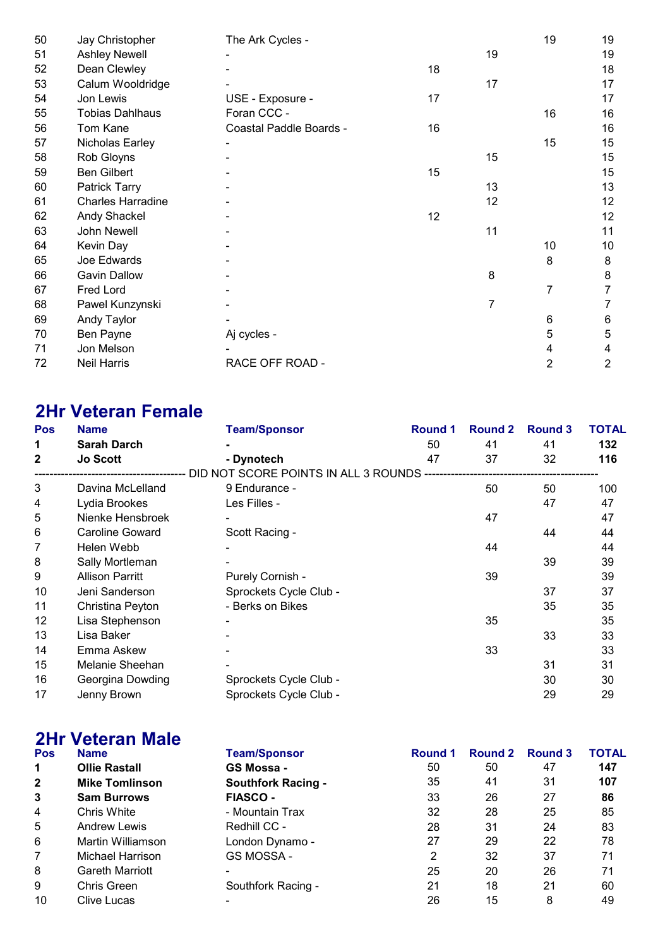| 50 | Jay Christopher          | The Ark Cycles -        |    |    | 19 | 19 |
|----|--------------------------|-------------------------|----|----|----|----|
| 51 | <b>Ashley Newell</b>     |                         |    | 19 |    | 19 |
| 52 | Dean Clewley             |                         | 18 |    |    | 18 |
| 53 | Calum Wooldridge         |                         |    | 17 |    | 17 |
| 54 | Jon Lewis                | USE - Exposure -        | 17 |    |    | 17 |
| 55 | <b>Tobias Dahlhaus</b>   | Foran CCC -             |    |    | 16 | 16 |
| 56 | Tom Kane                 | Coastal Paddle Boards - | 16 |    |    | 16 |
| 57 | Nicholas Earley          |                         |    |    | 15 | 15 |
| 58 | Rob Gloyns               |                         |    | 15 |    | 15 |
| 59 | <b>Ben Gilbert</b>       |                         | 15 |    |    | 15 |
| 60 | <b>Patrick Tarry</b>     |                         |    | 13 |    | 13 |
| 61 | <b>Charles Harradine</b> |                         |    | 12 |    | 12 |
| 62 | Andy Shackel             |                         | 12 |    |    | 12 |
| 63 | John Newell              |                         |    | 11 |    | 11 |
| 64 | Kevin Day                |                         |    |    | 10 | 10 |
| 65 | Joe Edwards              |                         |    |    | 8  | 8  |
| 66 | <b>Gavin Dallow</b>      |                         |    | 8  |    | 8  |
| 67 | Fred Lord                |                         |    |    | 7  | 7  |
| 68 | Pawel Kunzynski          |                         |    | 7  |    | 7  |
| 69 | Andy Taylor              |                         |    |    | 6  | 6  |
| 70 | Ben Payne                | Aj cycles -             |    |    | 5  | 5  |
| 71 | Jon Melson               |                         |    |    | 4  | 4  |
| 72 | <b>Neil Harris</b>       | RACE OFF ROAD -         |    |    | 2  | 2  |

### 2Hr Veteran Female

| <b>Pos</b> | <b>Name</b>            | <b>Team/Sponsor</b>                                | <b>Round 1</b> | <b>Round 2</b> | <b>Round 3</b> | TOTAL |
|------------|------------------------|----------------------------------------------------|----------------|----------------|----------------|-------|
| 1          | <b>Sarah Darch</b>     |                                                    | 50             | 41             | 41             | 132   |
| 2          | <b>Jo Scott</b>        | - Dynotech                                         | 47             | 37             | 32             | 116   |
|            |                        | DID NOT SCORE POINTS IN ALL 3 ROUNDS ------------- |                |                |                |       |
| 3          | Davina McLelland       | 9 Endurance -                                      |                | 50             | 50             | 100   |
| 4          | Lydia Brookes          | Les Filles -                                       |                |                | 47             | 47    |
| 5          | Nienke Hensbroek       |                                                    |                | 47             |                | 47    |
| 6          | Caroline Goward        | Scott Racing -                                     |                |                | 44             | 44    |
| 7          | Helen Webb             |                                                    |                | 44             |                | 44    |
| 8          | Sally Mortleman        |                                                    |                |                | 39             | 39    |
| 9          | <b>Allison Parritt</b> | Purely Cornish -                                   |                | 39             |                | 39    |
| 10         | Jeni Sanderson         | Sprockets Cycle Club -                             |                |                | 37             | 37    |
| 11         | Christina Peyton       | - Berks on Bikes                                   |                |                | 35             | 35    |
| 12         | Lisa Stephenson        |                                                    |                | 35             |                | 35    |
| 13         | Lisa Baker             |                                                    |                |                | 33             | 33    |
| 14         | Emma Askew             |                                                    |                | 33             |                | 33    |
| 15         | Melanie Sheehan        |                                                    |                |                | 31             | 31    |
| 16         | Georgina Dowding       | Sprockets Cycle Club -                             |                |                | 30             | 30    |
| 17         | Jenny Brown            | Sprockets Cycle Club -                             |                |                | 29             | 29    |

# 2Hr Veteran Male

| ZПI          | VELEI AIT IVIAIE       |                           |         |         |         |              |
|--------------|------------------------|---------------------------|---------|---------|---------|--------------|
| <b>Pos</b>   | <b>Name</b>            | <b>Team/Sponsor</b>       | Round 1 | Round 2 | Round 3 | <b>TOTAL</b> |
| 1            | <b>Ollie Rastall</b>   | GS Mossa -                | 50      | 50      | 47      | 147          |
| $\mathbf{2}$ | <b>Mike Tomlinson</b>  | <b>Southfork Racing -</b> | 35      | 41      | 31      | 107          |
| 3            | <b>Sam Burrows</b>     | <b>FIASCO -</b>           | 33      | 26      | 27      | 86           |
| 4            | Chris White            | - Mountain Trax           | 32      | 28      | 25      | 85           |
| 5            | <b>Andrew Lewis</b>    | Redhill CC -              | 28      | 31      | 24      | 83           |
| 6            | Martin Williamson      | London Dynamo -           | 27      | 29      | 22      | 78           |
| 7            | Michael Harrison       | GS MOSSA -                | 2       | 32      | 37      | 71           |
| 8            | <b>Gareth Marriott</b> |                           | 25      | 20      | 26      | 71           |
| 9            | <b>Chris Green</b>     | Southfork Racing -        | 21      | 18      | 21      | 60           |
| 10           | Clive Lucas            |                           | 26      | 15      | 8       | 49           |
|              |                        |                           |         |         |         |              |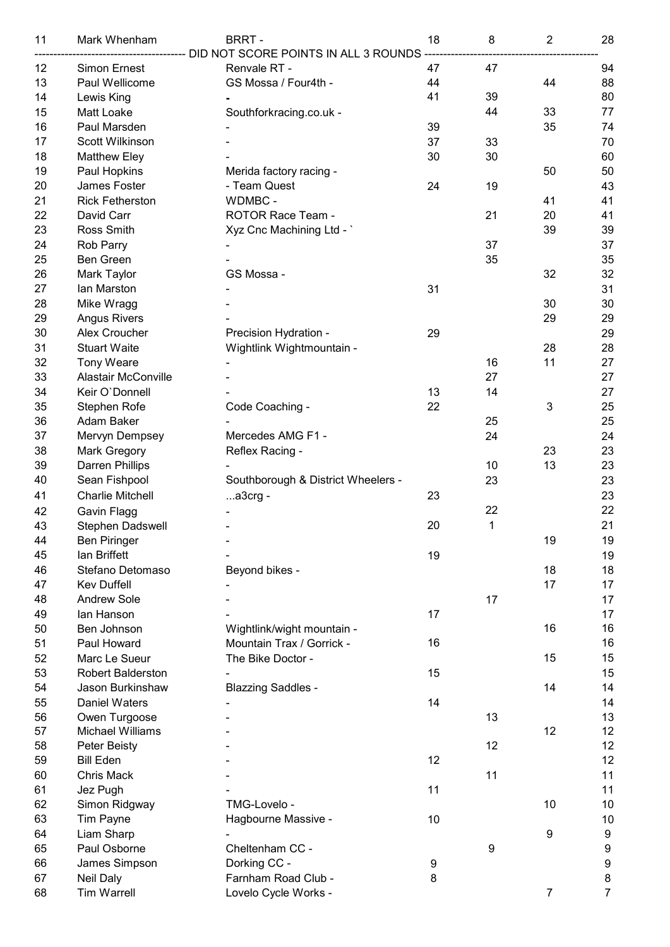| 11 | Mark Whenham               | <b>BRRT-</b>                                    | 18 | 8  | $\overline{2}$ | 28               |
|----|----------------------------|-------------------------------------------------|----|----|----------------|------------------|
|    |                            | ---------- DID NOT SCORE POINTS IN ALL 3 ROUNDS |    |    |                |                  |
| 12 | <b>Simon Ernest</b>        | Renvale RT -                                    | 47 | 47 |                | 94               |
| 13 | Paul Wellicome             | GS Mossa / Four4th -                            | 44 |    | 44             | 88               |
| 14 | Lewis King                 |                                                 | 41 | 39 |                | 80               |
| 15 | Matt Loake                 | Southforkracing.co.uk -                         |    | 44 | 33             | 77               |
| 16 | Paul Marsden               |                                                 | 39 |    | 35             | 74               |
| 17 | Scott Wilkinson            |                                                 | 37 | 33 |                | 70               |
| 18 | <b>Matthew Eley</b>        |                                                 | 30 | 30 |                | 60               |
| 19 | Paul Hopkins               | Merida factory racing -                         |    |    | 50             | 50               |
| 20 | James Foster               | - Team Quest                                    | 24 | 19 |                | 43               |
| 21 | <b>Rick Fetherston</b>     | WDMBC -                                         |    |    | 41             | 41               |
| 22 | David Carr                 | ROTOR Race Team -                               |    | 21 | 20             | 41               |
| 23 | Ross Smith                 | Xyz Cnc Machining Ltd - `                       |    |    | 39             | 39               |
| 24 | Rob Parry                  |                                                 |    | 37 |                | 37               |
| 25 | Ben Green                  |                                                 |    | 35 |                | 35               |
| 26 | Mark Taylor                | GS Mossa -                                      |    |    | 32             | 32               |
| 27 | lan Marston                |                                                 | 31 |    |                | 31               |
| 28 | Mike Wragg                 |                                                 |    |    | 30             | 30               |
| 29 | <b>Angus Rivers</b>        |                                                 |    |    | 29             | 29               |
| 30 | Alex Croucher              | Precision Hydration -                           | 29 |    |                | 29               |
| 31 | <b>Stuart Waite</b>        | Wightlink Wightmountain -                       |    |    | 28             | 28               |
| 32 | <b>Tony Weare</b>          |                                                 |    | 16 | 11             | 27               |
| 33 | <b>Alastair McConville</b> |                                                 |    | 27 |                | 27               |
| 34 | Keir O'Donnell             |                                                 | 13 | 14 |                | 27               |
| 35 | Stephen Rofe               | Code Coaching -                                 | 22 |    | 3              | 25               |
| 36 | Adam Baker                 |                                                 |    | 25 |                | 25               |
| 37 | Mervyn Dempsey             | Mercedes AMG F1 -                               |    | 24 |                | 24               |
| 38 | <b>Mark Gregory</b>        | Reflex Racing -                                 |    |    | 23             | 23               |
| 39 | Darren Phillips            |                                                 |    | 10 | 13             | 23               |
| 40 | Sean Fishpool              | Southborough & District Wheelers -              |    | 23 |                | 23               |
| 41 | <b>Charlie Mitchell</b>    | a3crg -                                         | 23 |    |                | 23               |
| 42 | Gavin Flagg                |                                                 |    | 22 |                | 22               |
| 43 | Stephen Dadswell           |                                                 | 20 | 1  |                | 21               |
| 44 | <b>Ben Piringer</b>        |                                                 |    |    | 19             | 19               |
| 45 | lan Briffett               |                                                 | 19 |    |                | 19               |
| 46 | Stefano Detomaso           | Beyond bikes -                                  |    |    | 18             | 18               |
| 47 | <b>Kev Duffell</b>         |                                                 |    |    | 17             | 17               |
| 48 | <b>Andrew Sole</b>         |                                                 |    | 17 |                | 17               |
| 49 | lan Hanson                 |                                                 | 17 |    |                | 17               |
| 50 | Ben Johnson                | Wightlink/wight mountain -                      |    |    | 16             | 16               |
| 51 | Paul Howard                | Mountain Trax / Gorrick -                       | 16 |    |                | 16               |
| 52 | Marc Le Sueur              | The Bike Doctor -                               |    |    | 15             | 15               |
| 53 | <b>Robert Balderston</b>   |                                                 | 15 |    |                | 15               |
| 54 | Jason Burkinshaw           | <b>Blazzing Saddles -</b>                       |    |    | 14             | 14               |
| 55 | <b>Daniel Waters</b>       |                                                 | 14 |    |                | 14               |
| 56 | Owen Turgoose              |                                                 |    | 13 |                | 13               |
| 57 | <b>Michael Williams</b>    |                                                 |    |    | 12             | 12               |
| 58 | Peter Beisty               |                                                 |    | 12 |                | 12               |
| 59 | <b>Bill Eden</b>           |                                                 | 12 |    |                | 12               |
| 60 | <b>Chris Mack</b>          |                                                 |    | 11 |                | 11               |
| 61 | Jez Pugh                   |                                                 | 11 |    |                | 11               |
| 62 | Simon Ridgway              | TMG-Lovelo -                                    |    |    | 10             | 10               |
| 63 | Tim Payne                  | Hagbourne Massive -                             | 10 |    |                | 10               |
| 64 | Liam Sharp                 |                                                 |    |    | 9              | $\boldsymbol{9}$ |
| 65 | Paul Osborne               | Cheltenham CC -                                 |    | 9  |                | $\boldsymbol{9}$ |
| 66 | James Simpson              | Dorking CC -                                    | 9  |    |                | $\boldsymbol{9}$ |
| 67 | <b>Neil Daly</b>           | Farnham Road Club -                             | 8  |    |                | $\bf 8$          |
| 68 | <b>Tim Warrell</b>         | Lovelo Cycle Works -                            |    |    | 7              | $\overline{7}$   |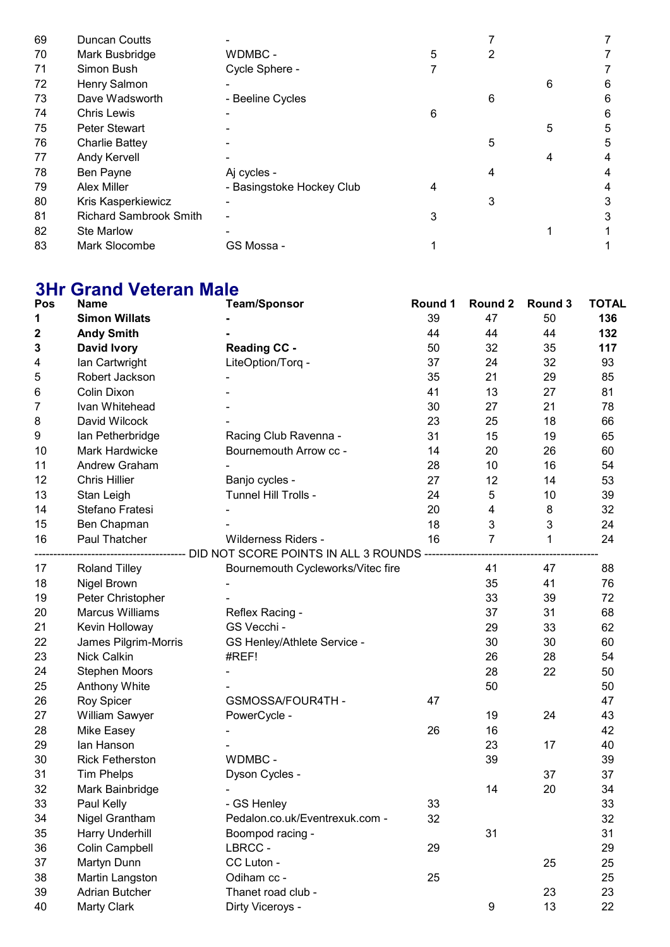| 69 | <b>Duncan Coutts</b>          |                           |   |   |   |   |
|----|-------------------------------|---------------------------|---|---|---|---|
| 70 | Mark Busbridge                | WDMBC -                   | 5 | 2 |   |   |
| 71 | Simon Bush                    | Cycle Sphere -            |   |   |   |   |
| 72 | Henry Salmon                  |                           |   |   | 6 | 6 |
| 73 | Dave Wadsworth                | - Beeline Cycles          |   | 6 |   | 6 |
| 74 | <b>Chris Lewis</b>            |                           | 6 |   |   | 6 |
| 75 | <b>Peter Stewart</b>          |                           |   |   | 5 | 5 |
| 76 | <b>Charlie Battey</b>         |                           |   | 5 |   | 5 |
| 77 | Andy Kervell                  |                           |   |   |   | 4 |
| 78 | Ben Payne                     | Aj cycles -               |   | 4 |   |   |
| 79 | <b>Alex Miller</b>            | - Basingstoke Hockey Club | 4 |   |   | 4 |
| 80 | Kris Kasperkiewicz            |                           |   | 3 |   |   |
| 81 | <b>Richard Sambrook Smith</b> |                           | 3 |   |   | 3 |
| 82 | <b>Ste Marlow</b>             |                           |   |   |   |   |
| 83 | Mark Slocombe                 | GS Mossa -                |   |   |   |   |

### 3Hr Grand Veteran Male

| Pos | <b>Name</b>            | <b>Team/Sponsor</b>                                                             | Round 1 | Round 2        | Round 3 | <b>TOTAL</b> |
|-----|------------------------|---------------------------------------------------------------------------------|---------|----------------|---------|--------------|
| 1   | <b>Simon Willats</b>   |                                                                                 | 39      | 47             | 50      | 136          |
| 2   | <b>Andy Smith</b>      |                                                                                 | 44      | 44             | 44      | 132          |
| 3   | David Ivory            | <b>Reading CC -</b>                                                             | 50      | 32             | 35      | 117          |
| 4   | Ian Cartwright         | LiteOption/Torq -                                                               | 37      | 24             | 32      | 93           |
| 5   | Robert Jackson         |                                                                                 | 35      | 21             | 29      | 85           |
| 6   | Colin Dixon            |                                                                                 | 41      | 13             | 27      | 81           |
| 7   | Ivan Whitehead         |                                                                                 | 30      | 27             | 21      | 78           |
| 8   | David Wilcock          |                                                                                 | 23      | 25             | 18      | 66           |
| 9   | Ian Petherbridge       | Racing Club Ravenna -                                                           | 31      | 15             | 19      | 65           |
| 10  | Mark Hardwicke         | Bournemouth Arrow cc -                                                          | 14      | 20             | 26      | 60           |
| 11  | Andrew Graham          |                                                                                 | 28      | 10             | 16      | 54           |
| 12  | <b>Chris Hillier</b>   | Banjo cycles -                                                                  | 27      | 12             | 14      | 53           |
| 13  | Stan Leigh             | Tunnel Hill Trolls -                                                            | 24      | 5              | 10      | 39           |
| 14  | Stefano Fratesi        |                                                                                 | 20      | 4              | 8       | 32           |
| 15  | Ben Chapman            |                                                                                 | 18      | 3              | 3       | 24           |
| 16  | Paul Thatcher          | Wilderness Riders -                                                             | 16      | $\overline{7}$ | 1       | 24           |
|     |                        | --------------------------- DID NOT SCORE POINTS IN ALL 3 ROUNDS -------------- |         |                |         |              |
| 17  | <b>Roland Tilley</b>   | Bournemouth Cycleworks/Vitec fire                                               |         | 41             | 47      | 88           |
| 18  | Nigel Brown            |                                                                                 |         | 35             | 41      | 76           |
| 19  | Peter Christopher      |                                                                                 |         | 33             | 39      | 72           |
| 20  | <b>Marcus Williams</b> | Reflex Racing -                                                                 |         | 37             | 31      | 68           |
| 21  | Kevin Holloway         | GS Vecchi -                                                                     |         | 29             | 33      | 62           |
| 22  | James Pilgrim-Morris   | GS Henley/Athlete Service -                                                     |         | 30             | 30      | 60           |
| 23  | <b>Nick Calkin</b>     | #REF!                                                                           |         | 26             | 28      | 54           |
| 24  | <b>Stephen Moors</b>   |                                                                                 |         | 28             | 22      | 50           |
| 25  | <b>Anthony White</b>   |                                                                                 |         | 50             |         | 50           |
| 26  | Roy Spicer             | GSMOSSA/FOUR4TH-                                                                | 47      |                |         | 47           |
| 27  | <b>William Sawyer</b>  | PowerCycle -                                                                    |         | 19             | 24      | 43           |
| 28  | Mike Easey             |                                                                                 | 26      | 16             |         | 42           |
| 29  | lan Hanson             |                                                                                 |         | 23             | 17      | 40           |
| 30  | <b>Rick Fetherston</b> | WDMBC -                                                                         |         | 39             |         | 39           |
| 31  | <b>Tim Phelps</b>      | Dyson Cycles -                                                                  |         |                | 37      | 37           |
| 32  | Mark Bainbridge        |                                                                                 |         | 14             | 20      | 34           |
| 33  | Paul Kelly             | - GS Henley                                                                     | 33      |                |         | 33           |
| 34  | Nigel Grantham         | Pedalon.co.uk/Eventrexuk.com -                                                  | 32      |                |         | 32           |
| 35  | Harry Underhill        | Boompod racing -                                                                |         | 31             |         | 31           |
| 36  | Colin Campbell         | LBRCC-                                                                          | 29      |                |         | 29           |
| 37  | Martyn Dunn            | CC Luton -                                                                      |         |                | 25      | 25           |
| 38  | Martin Langston        | Odiham cc -                                                                     | 25      |                |         | 25           |
| 39  | <b>Adrian Butcher</b>  | Thanet road club -                                                              |         |                | 23      | 23           |
| 40  | <b>Marty Clark</b>     | Dirty Viceroys -                                                                |         | 9              | 13      | 22           |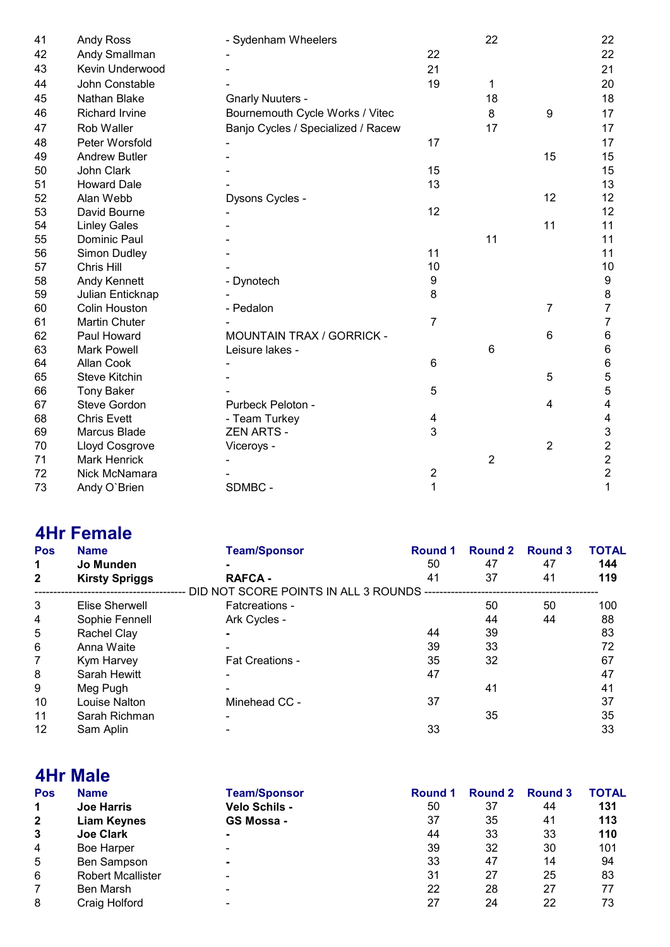| 41 | <b>Andy Ross</b>      | - Sydenham Wheelers                |                | 22             |    | 22                      |
|----|-----------------------|------------------------------------|----------------|----------------|----|-------------------------|
| 42 | Andy Smallman         |                                    | 22             |                |    | 22                      |
| 43 | Kevin Underwood       |                                    | 21             |                |    | 21                      |
| 44 | John Constable        |                                    | 19             | 1              |    | 20                      |
| 45 | Nathan Blake          | <b>Gnarly Nuuters -</b>            |                | 18             |    | 18                      |
| 46 | <b>Richard Irvine</b> | Bournemouth Cycle Works / Vitec    |                | 8              | 9  | 17                      |
| 47 | Rob Waller            | Banjo Cycles / Specialized / Racew |                | 17             |    | 17                      |
| 48 | Peter Worsfold        |                                    | 17             |                |    | 17                      |
| 49 | <b>Andrew Butler</b>  |                                    |                |                | 15 | 15                      |
| 50 | John Clark            |                                    | 15             |                |    | 15                      |
| 51 | <b>Howard Dale</b>    |                                    | 13             |                |    | 13                      |
| 52 | Alan Webb             | Dysons Cycles -                    |                |                | 12 | 12                      |
| 53 | David Bourne          |                                    | 12             |                |    | 12                      |
| 54 | <b>Linley Gales</b>   |                                    |                |                | 11 | 11                      |
| 55 | Dominic Paul          |                                    |                | 11             |    | 11                      |
| 56 | Simon Dudley          |                                    | 11             |                |    | 11                      |
| 57 | Chris Hill            |                                    | 10             |                |    | 10                      |
| 58 | <b>Andy Kennett</b>   | - Dynotech                         | 9              |                |    | $\boldsymbol{9}$        |
| 59 | Julian Enticknap      |                                    | 8              |                |    | 8                       |
| 60 | <b>Colin Houston</b>  | - Pedalon                          |                |                | 7  | $\overline{7}$          |
| 61 | <b>Martin Chuter</b>  |                                    | $\overline{7}$ |                |    | 7                       |
| 62 | Paul Howard           | <b>MOUNTAIN TRAX / GORRICK -</b>   |                |                | 6  | $\,6$                   |
| 63 | <b>Mark Powell</b>    | Leisure lakes -                    |                | 6              |    | $\,6$                   |
| 64 | Allan Cook            |                                    | 6              |                |    | 6                       |
| 65 | <b>Steve Kitchin</b>  |                                    |                |                | 5  | 5                       |
| 66 | <b>Tony Baker</b>     |                                    | 5              |                |    | 5                       |
| 67 | Steve Gordon          | Purbeck Peloton -                  |                |                | 4  | 4                       |
| 68 | <b>Chris Evett</b>    | - Team Turkey                      | 4              |                |    | 4                       |
| 69 | Marcus Blade          | <b>ZEN ARTS -</b>                  | 3              |                |    | 3                       |
| 70 | Lloyd Cosgrove        | Viceroys -                         |                |                | 2  | $\overline{\mathbf{c}}$ |
| 71 | <b>Mark Henrick</b>   |                                    |                | $\overline{2}$ |    | $\overline{2}$          |
| 72 | Nick McNamara         |                                    | 2              |                |    | $\overline{c}$          |
| 73 | Andy O'Brien          | SDMBC -                            | 1              |                |    | 1                       |

## 4Hr Female

| <b>Pos</b>   | <b>Name</b>           | <b>Team/Sponsor</b>                     | Round 1 | Round 2 | Round 3 | <b>TOTAL</b> |
|--------------|-----------------------|-----------------------------------------|---------|---------|---------|--------------|
| 1            | Jo Munden             |                                         | 50      | 47      | 47      | 144          |
| $\mathbf{2}$ | <b>Kirsty Spriggs</b> | <b>RAFCA -</b>                          | 41      | 37      | 41      | 119          |
|              |                       | DID NOT SCORE POINTS IN ALL 3 ROUNDS -- |         |         |         |              |
| 3            | Elise Sherwell        | Fatcreations -                          |         | 50      | 50      | 100          |
| 4            | Sophie Fennell        | Ark Cycles -                            |         | 44      | 44      | 88           |
| 5            | Rachel Clay           |                                         | 44      | 39      |         | 83           |
| 6            | Anna Waite            |                                         | 39      | 33      |         | 72           |
| 7            | Kym Harvey            | <b>Fat Creations -</b>                  | 35      | 32      |         | 67           |
| 8            | Sarah Hewitt          |                                         | 47      |         |         | 47           |
| 9            | Meg Pugh              |                                         |         | 41      |         | 41           |
| 10           | Louise Nalton         | Minehead CC -                           | 37      |         |         | 37           |
| 11           | Sarah Richman         |                                         |         | 35      |         | 35           |
| 12           | Sam Aplin             |                                         | 33      |         |         | 33           |

#### 4Hr Male Pos Name Team/Sponsor Round 1 Round 2 Round 3 TOTAL<br>
1 Joe Harris Velo Schils - 50 37 44 131 1 Joe Harris Velo Schils - 50 37 44 131 **2 Liam Keynes GS Mossa - 37 35 41<br>
3 Joe Clark - 20 April 2018 44 33 33** 3 Joe Clark - 44 33 33 110 4 Boe Harper 19, 2008, 2009, 2009, 2009, 2009, 2009, 2009, 2009, 2009, 2009, 2009, 2009, 2009, 2009, 2009, 200 4 Boe Harper - 20 101 20 30 32 30 101<br>
5 Ben Sampson - 33 47 14 94<br>
6 Robert Mcallister - 20 31 27 25 83 8 6 Robert Mcallister - 31 27 25 83<br>
7 Ben Marsh - 32 28 27 77 7 Ben Marsh - 22 28 27 77 8 Craig Holford - 27 24 22 73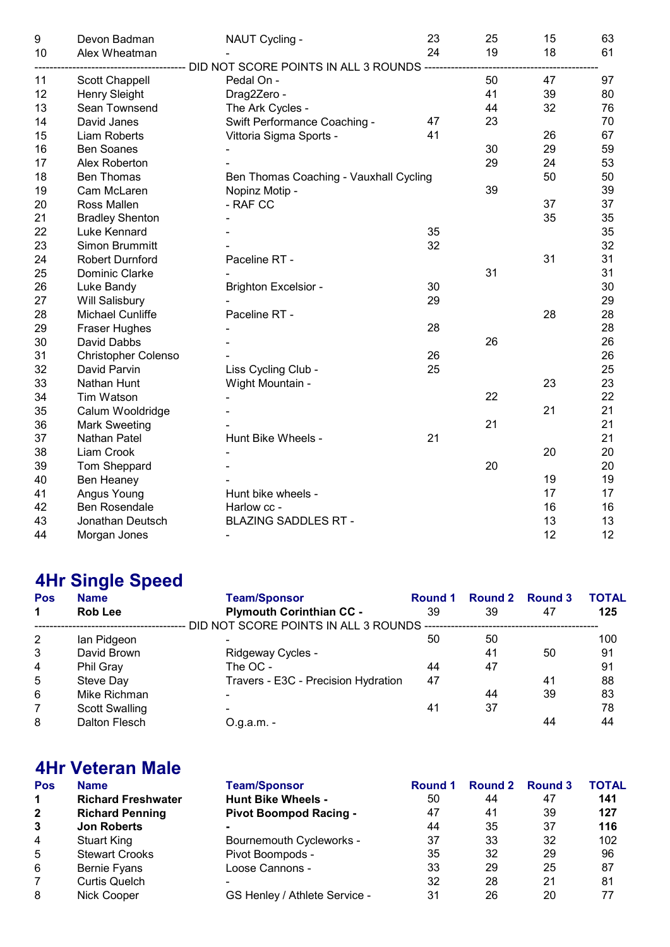| $\boldsymbol{9}$ | Devon Badman               | NAUT Cycling -                                         | 23 | 25 | 15 | 63 |
|------------------|----------------------------|--------------------------------------------------------|----|----|----|----|
| 10               | Alex Wheatman              |                                                        | 24 | 19 | 18 | 61 |
|                  |                            | ----------- DID NOT SCORE POINTS IN ALL 3 ROUNDS ----- |    |    |    |    |
| 11               | Scott Chappell             | Pedal On -                                             |    | 50 | 47 | 97 |
| 12               | Henry Sleight              | Drag2Zero -                                            |    | 41 | 39 | 80 |
| 13               | Sean Townsend              | The Ark Cycles -                                       |    | 44 | 32 | 76 |
| 14               | David Janes                | Swift Performance Coaching -                           | 47 | 23 |    | 70 |
| 15               | Liam Roberts               | Vittoria Sigma Sports -                                | 41 |    | 26 | 67 |
| 16               | <b>Ben Soanes</b>          |                                                        |    | 30 | 29 | 59 |
| 17               | Alex Roberton              |                                                        |    | 29 | 24 | 53 |
| 18               | <b>Ben Thomas</b>          | Ben Thomas Coaching - Vauxhall Cycling                 |    |    | 50 | 50 |
| 19               | Cam McLaren                | Nopinz Motip -                                         |    | 39 |    | 39 |
| 20               | Ross Mallen                | - RAF CC                                               |    |    | 37 | 37 |
| 21               | <b>Bradley Shenton</b>     |                                                        |    |    | 35 | 35 |
| 22               | Luke Kennard               |                                                        | 35 |    |    | 35 |
| 23               | Simon Brummitt             |                                                        | 32 |    |    | 32 |
| 24               | Robert Durnford            | Paceline RT -                                          |    |    | 31 | 31 |
| 25               | Dominic Clarke             |                                                        |    | 31 |    | 31 |
| 26               | Luke Bandy                 | <b>Brighton Excelsior -</b>                            | 30 |    |    | 30 |
| 27               | Will Salisbury             |                                                        | 29 |    |    | 29 |
| 28               | Michael Cunliffe           | Paceline RT -                                          |    |    | 28 | 28 |
| 29               | <b>Fraser Hughes</b>       |                                                        | 28 |    |    | 28 |
| 30               | David Dabbs                |                                                        |    | 26 |    | 26 |
| 31               | <b>Christopher Colenso</b> |                                                        | 26 |    |    | 26 |
| 32               | David Parvin               | Liss Cycling Club -                                    | 25 |    |    | 25 |
| 33               | Nathan Hunt                | Wight Mountain -                                       |    |    | 23 | 23 |
| 34               | Tim Watson                 |                                                        |    | 22 |    | 22 |
| 35               | Calum Wooldridge           |                                                        |    |    | 21 | 21 |
| 36               | <b>Mark Sweeting</b>       |                                                        |    | 21 |    | 21 |
| 37               | Nathan Patel               | Hunt Bike Wheels -                                     | 21 |    |    | 21 |
| 38               | Liam Crook                 |                                                        |    |    | 20 | 20 |
| 39               | Tom Sheppard               |                                                        |    | 20 |    | 20 |
| 40               | Ben Heaney                 |                                                        |    |    | 19 | 19 |
| 41               | Angus Young                | Hunt bike wheels -                                     |    |    | 17 | 17 |
| 42               | <b>Ben Rosendale</b>       | Harlow cc -                                            |    |    | 16 | 16 |
| 43               | Jonathan Deutsch           | <b>BLAZING SADDLES RT -</b>                            |    |    | 13 | 13 |
| 44               | Morgan Jones               |                                                        |    |    | 12 | 12 |

# 4Hr Single Speed

| <b>Pos</b>     | <b>Name</b>           | <b>Team/Sponsor</b>                      | Round 1 | <b>Round 2</b> | Round 3 | TOTAL |
|----------------|-----------------------|------------------------------------------|---------|----------------|---------|-------|
| $\mathbf 1$    | <b>Rob Lee</b>        | <b>Plymouth Corinthian CC -</b>          | 39      | 39             | 47      | 125   |
|                |                       | DID NOT SCORE POINTS IN ALL 3 ROUNDS --- |         |                |         |       |
| $\overline{2}$ | lan Pidgeon           |                                          | 50      | 50             |         | 100   |
| 3              | David Brown           | Ridgeway Cycles -                        |         | 41             | 50      | 91    |
| $\overline{4}$ | Phil Gray             | The OC -                                 | 44      | 47             |         | 91    |
| 5              | Steve Day             | Travers - E3C - Precision Hydration      | 47      |                | 41      | 88    |
| 6              | Mike Richman          | $\overline{\phantom{0}}$                 |         | 44             | 39      | 83    |
| 7              | <b>Scott Swalling</b> | -                                        | 41      | 37             |         | 78    |
| 8              | Dalton Flesch         | $O.g.a.m. -$                             |         |                | 44      | 44    |

# 4Hr Veteran Male

| <b>Name</b>               | <b>Team/Sponsor</b>           | Round 1 | Round 2 | <b>Round 3</b> | <b>TOTAL</b> |
|---------------------------|-------------------------------|---------|---------|----------------|--------------|
| <b>Richard Freshwater</b> | <b>Hunt Bike Wheels -</b>     | 50      | 44      | 47             | 141          |
| <b>Richard Penning</b>    | <b>Pivot Boompod Racing -</b> | 47      | 41      | 39             | 127          |
| <b>Jon Roberts</b>        |                               | 44      | 35      | 37             | 116          |
| <b>Stuart King</b>        | Bournemouth Cycleworks -      | 37      | 33      | 32             | 102          |
| <b>Stewart Crooks</b>     | Pivot Boompods -              | 35      | 32      | 29             | 96           |
| <b>Bernie Fyans</b>       | Loose Cannons -               | 33      | 29      | 25             | 87           |
| <b>Curtis Quelch</b>      |                               | 32      | 28      | 21             | 81           |
| Nick Cooper               | GS Henley / Athlete Service - | 31      | 26      | 20             | 77           |
|                           |                               |         |         |                |              |